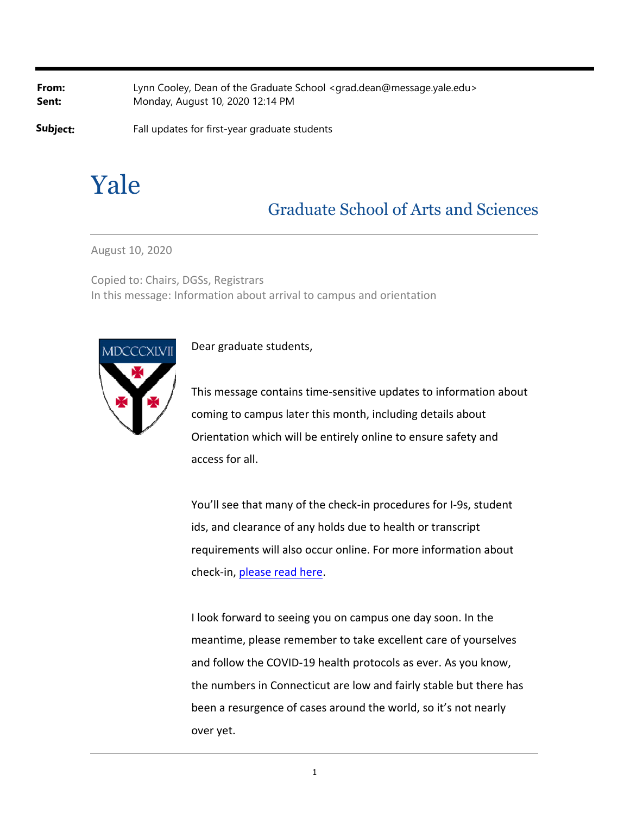**From:** Lynn Cooley, Dean of the Graduate School <grad.dean@message.yale.edu> **Sent:** Monday, August 10, 2020 12:14 PM

**Subject:** Fall updates for first-year graduate students

# Yale

# Graduate School of Arts and Sciences

August 10, 2020

Copied to: Chairs, DGSs, Registrars In this message: Information about arrival to campus and orientation



## Dear graduate students,

This message contains time‐sensitive updates to information about coming to campus later this month, including details about Orientation which will be entirely online to ensure safety and access for all.

You'll see that many of the check-in procedures for I-9s, student ids, and clearance of any holds due to health or transcript requirements will also occur online. For more information about check‐in, please read here.

I look forward to seeing you on campus one day soon. In the meantime, please remember to take excellent care of yourselves and follow the COVID‐19 health protocols as ever. As you know, the numbers in Connecticut are low and fairly stable but there has been a resurgence of cases around the world, so it's not nearly over yet.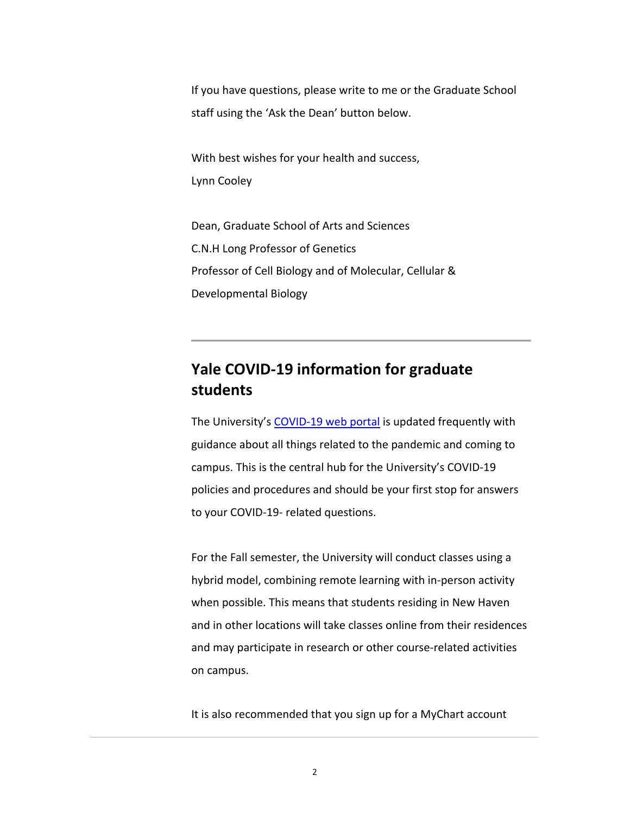If you have questions, please write to me or the Graduate School staff using the 'Ask the Dean' button below.

With best wishes for your health and success, Lynn Cooley

Dean, Graduate School of Arts and Sciences C.N.H Long Professor of Genetics Professor of Cell Biology and of Molecular, Cellular & Developmental Biology

# **Yale COVID‐19 information for graduate students**

The University's COVID-19 web portal is updated frequently with guidance about all things related to the pandemic and coming to campus. This is the central hub for the University's COVID‐19 policies and procedures and should be your first stop for answers to your COVID‐19‐ related questions.

For the Fall semester, the University will conduct classes using a hybrid model, combining remote learning with in‐person activity when possible. This means that students residing in New Haven and in other locations will take classes online from their residences and may participate in research or other course‐related activities on campus.

It is also recommended that you sign up for a MyChart account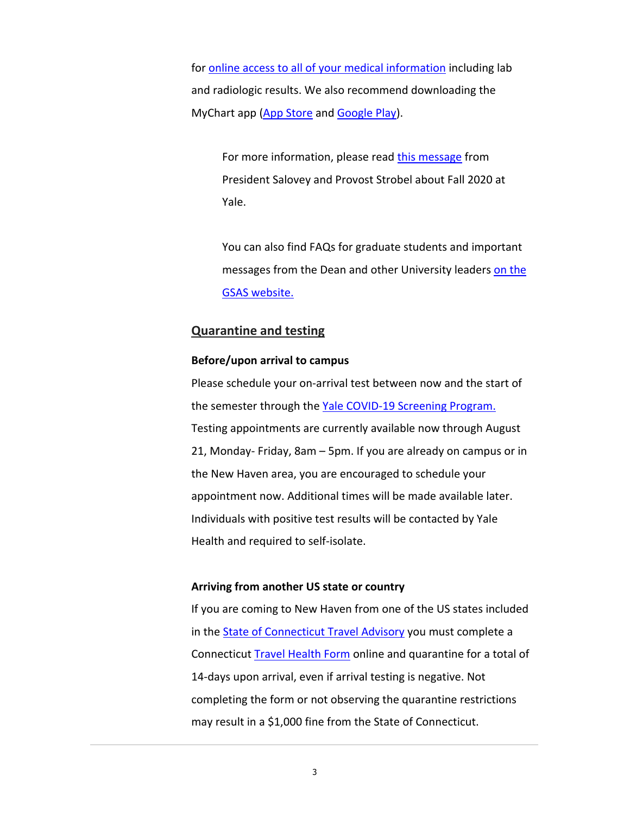for online access to all of your medical information including lab and radiologic results. We also recommend downloading the MyChart app (App Store and Google Play).

For more information, please read this message from President Salovey and Provost Strobel about Fall 2020 at Yale.

You can also find FAQs for graduate students and important messages from the Dean and other University leaders on the GSAS website.

## **Quarantine and testing**

#### **Before/upon arrival to campus**

Please schedule your on‐arrival test between now and the start of the semester through the Yale COVID-19 Screening Program. Testing appointments are currently available now through August 21, Monday‐ Friday, 8am – 5pm. If you are already on campus or in the New Haven area, you are encouraged to schedule your appointment now. Additional times will be made available later. Individuals with positive test results will be contacted by Yale Health and required to self‐isolate.

#### **Arriving from another US state or country**

If you are coming to New Haven from one of the US states included in the State of Connecticut Travel Advisory you must complete a Connecticut Travel Health Form online and quarantine for a total of 14‐days upon arrival, even if arrival testing is negative. Not completing the form or not observing the quarantine restrictions may result in a \$1,000 fine from the State of Connecticut.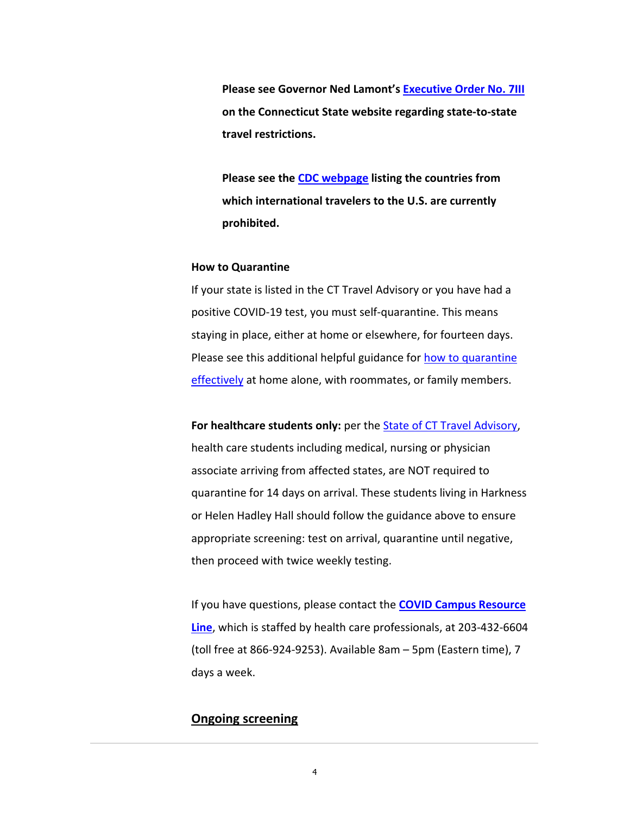**Please see Governor Ned Lamont's Executive Order No. 7III on the Connecticut State website regarding state‐to‐state travel restrictions.**

**Please see the CDC webpage listing the countries from which international travelers to the U.S. are currently prohibited.**

#### **How to Quarantine**

If your state is listed in the CT Travel Advisory or you have had a positive COVID‐19 test, you must self‐quarantine. This means staying in place, either at home or elsewhere, for fourteen days. Please see this additional helpful guidance for how to quarantine effectively at home alone, with roommates, or family members.

**For healthcare students only:** per the State of CT Travel Advisory, health care students including medical, nursing or physician associate arriving from affected states, are NOT required to quarantine for 14 days on arrival. These students living in Harkness or Helen Hadley Hall should follow the guidance above to ensure appropriate screening: test on arrival, quarantine until negative, then proceed with twice weekly testing.

If you have questions, please contact the **COVID Campus Resource Line**, which is staffed by health care professionals, at 203‐432‐6604 (toll free at 866‐924‐9253). Available 8am – 5pm (Eastern time), 7 days a week.

# **Ongoing screening**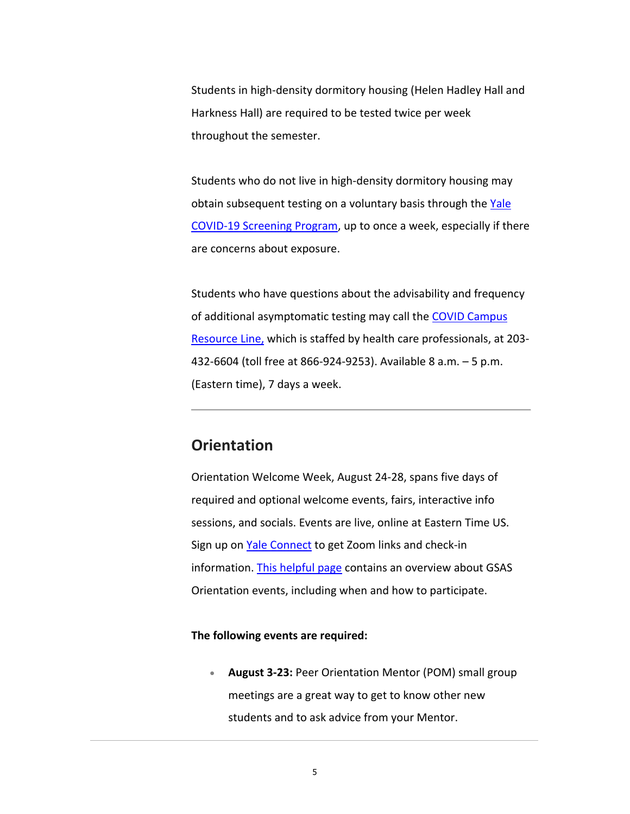Students in high‐density dormitory housing (Helen Hadley Hall and Harkness Hall) are required to be tested twice per week throughout the semester.

Students who do not live in high‐density dormitory housing may obtain subsequent testing on a voluntary basis through the Yale COVID‐19 Screening Program, up to once a week, especially if there are concerns about exposure.

Students who have questions about the advisability and frequency of additional asymptomatic testing may call the COVID Campus Resource Line, which is staffed by health care professionals, at 203-432‐6604 (toll free at 866‐924‐9253). Available 8 a.m. – 5 p.m. (Eastern time), 7 days a week.

# **Orientation**

Orientation Welcome Week, August 24‐28, spans five days of required and optional welcome events, fairs, interactive info sessions, and socials. Events are live, online at Eastern Time US. Sign up on Yale Connect to get Zoom links and check‐in information. This helpful page contains an overview about GSAS Orientation events, including when and how to participate.

#### **The following events are required:**

 **August 3‐23:** Peer Orientation Mentor (POM) small group meetings are a great way to get to know other new students and to ask advice from your Mentor.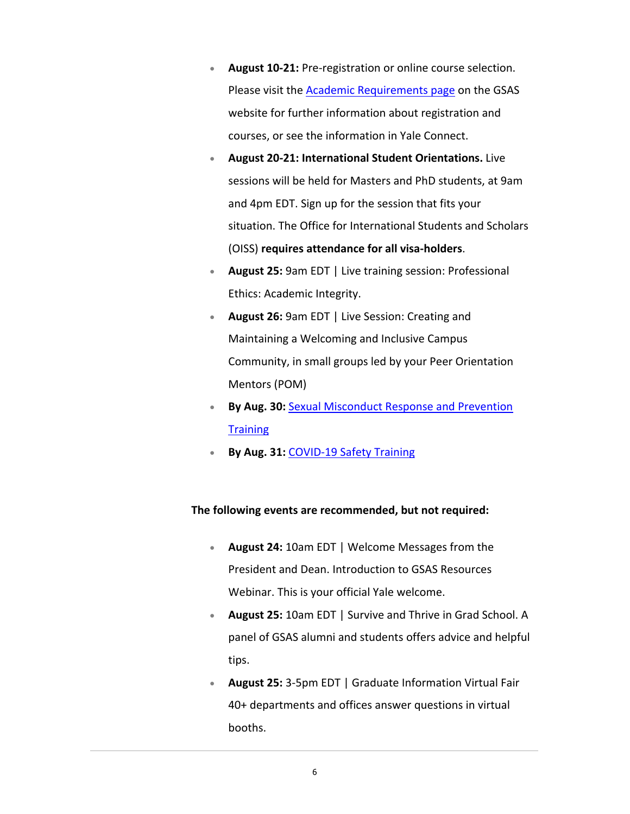- **August 10‐21:** Pre‐registration or online course selection. Please visit the Academic Requirements page on the GSAS website for further information about registration and courses, or see the information in Yale Connect.
- **August 20‐21: International Student Orientations.** Live sessions will be held for Masters and PhD students, at 9am and 4pm EDT. Sign up for the session that fits your situation. The Office for International Students and Scholars (OISS) **requires attendance for all visa‐holders**.
- **August 25:** 9am EDT | Live training session: Professional Ethics: Academic Integrity.
- **August 26:** 9am EDT | Live Session: Creating and Maintaining a Welcoming and Inclusive Campus Community, in small groups led by your Peer Orientation Mentors (POM)
- **By Aug. 30:** Sexual Misconduct Response and Prevention **Training**
- **By Aug. 31:** COVID‐19 Safety Training

## **The following events are recommended, but not required:**

- **August 24:** 10am EDT | Welcome Messages from the President and Dean. Introduction to GSAS Resources Webinar. This is your official Yale welcome.
- **August 25:** 10am EDT | Survive and Thrive in Grad School. A panel of GSAS alumni and students offers advice and helpful tips.
- **August 25:** 3‐5pm EDT | Graduate Information Virtual Fair 40+ departments and offices answer questions in virtual booths.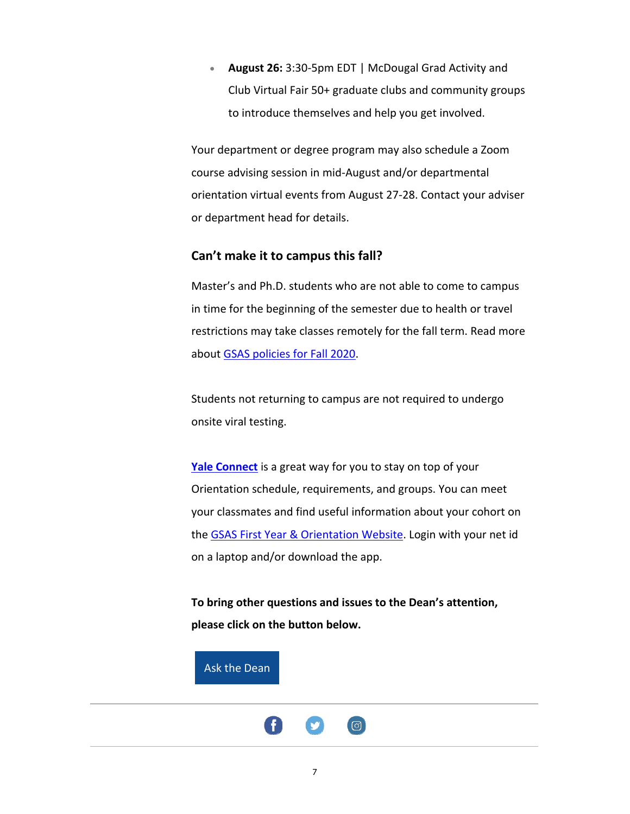**August 26:** 3:30‐5pm EDT | McDougal Grad Activity and Club Virtual Fair 50+ graduate clubs and community groups to introduce themselves and help you get involved.

Your department or degree program may also schedule a Zoom course advising session in mid‐August and/or departmental orientation virtual events from August 27‐28. Contact your adviser or department head for details.

## **Can't make it to campus this fall?**

Master's and Ph.D. students who are not able to come to campus in time for the beginning of the semester due to health or travel restrictions may take classes remotely for the fall term. Read more about GSAS policies for Fall 2020.

Students not returning to campus are not required to undergo onsite viral testing.

**Yale Connect** is a great way for you to stay on top of your Orientation schedule, requirements, and groups. You can meet your classmates and find useful information about your cohort on the GSAS First Year & Orientation Website. Login with your net id on a laptop and/or download the app.

**To bring other questions and issues to the Dean's attention, please click on the button below.**

Ask the Dean